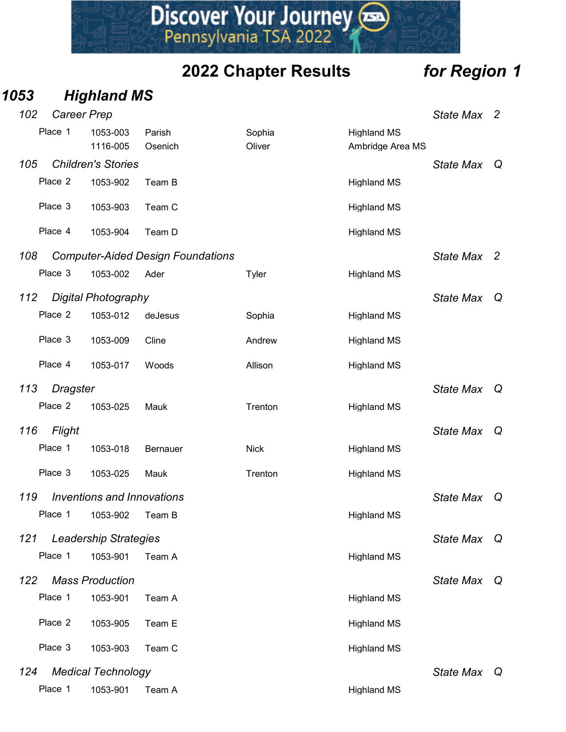### 1053 Highland MS

|     |          |                                   |                                          | Discover Your Journey       |                                        |              |   |
|-----|----------|-----------------------------------|------------------------------------------|-----------------------------|----------------------------------------|--------------|---|
|     |          |                                   |                                          | <b>2022 Chapter Results</b> |                                        | for Region 1 |   |
| )53 |          | <b>Highland MS</b>                |                                          |                             |                                        |              |   |
| 102 |          | Career Prep                       |                                          |                             |                                        | State Max 2  |   |
|     | Place 1  | 1053-003<br>1116-005              | Parish<br>Osenich                        | Sophia<br>Oliver            | <b>Highland MS</b><br>Ambridge Area MS |              |   |
| 105 |          | <b>Children's Stories</b>         |                                          |                             |                                        | State Max Q  |   |
|     | Place 2  | 1053-902                          | Team B                                   |                             | <b>Highland MS</b>                     |              |   |
|     | Place 3  | 1053-903                          | Team C                                   |                             | <b>Highland MS</b>                     |              |   |
|     | Place 4  | 1053-904                          | Team D                                   |                             | <b>Highland MS</b>                     |              |   |
| 108 |          |                                   | <b>Computer-Aided Design Foundations</b> |                             |                                        | State Max 2  |   |
|     | Place 3  | 1053-002                          | Ader                                     | Tyler                       | <b>Highland MS</b>                     |              |   |
| 112 |          | <b>Digital Photography</b>        |                                          |                             |                                        | State Max    | Q |
|     | Place 2  | 1053-012                          | deJesus                                  | Sophia                      | <b>Highland MS</b>                     |              |   |
|     | Place 3  | 1053-009                          | Cline                                    | Andrew                      | <b>Highland MS</b>                     |              |   |
|     | Place 4  | 1053-017                          | Woods                                    | Allison                     | <b>Highland MS</b>                     |              |   |
| 113 | Dragster |                                   |                                          |                             |                                        | State Max Q  |   |
|     | Place 2  | 1053-025                          | Mauk                                     | Trenton                     | <b>Highland MS</b>                     |              |   |
| 116 | Flight   |                                   |                                          |                             |                                        | State Max Q  |   |
|     | Place 1  | 1053-018                          | Bernauer                                 | <b>Nick</b>                 | <b>Highland MS</b>                     |              |   |
|     | Place 3  | 1053-025                          | Mauk                                     | Trenton                     | <b>Highland MS</b>                     |              |   |
| 119 |          | <b>Inventions and Innovations</b> |                                          |                             |                                        | State Max Q  |   |
|     | Place 1  | 1053-902                          | Team B                                   |                             | <b>Highland MS</b>                     |              |   |
| 121 |          | <b>Leadership Strategies</b>      |                                          |                             |                                        | State Max Q  |   |
|     | Place 1  | 1053-901                          | Team A                                   |                             | <b>Highland MS</b>                     |              |   |
| 122 |          | <b>Mass Production</b>            |                                          |                             |                                        | State Max Q  |   |
|     | Place 1  | 1053-901                          | Team A                                   |                             | <b>Highland MS</b>                     |              |   |
|     | Place 2  | 1053-905                          | Team E                                   |                             | <b>Highland MS</b>                     |              |   |
|     | Place 3  | 1053-903                          | Team C                                   |                             | <b>Highland MS</b>                     |              |   |
| 124 |          | <b>Medical Technology</b>         |                                          |                             |                                        | State Max Q  |   |
|     | Place 1  | 1053-901                          | Team A                                   |                             | <b>Highland MS</b>                     |              |   |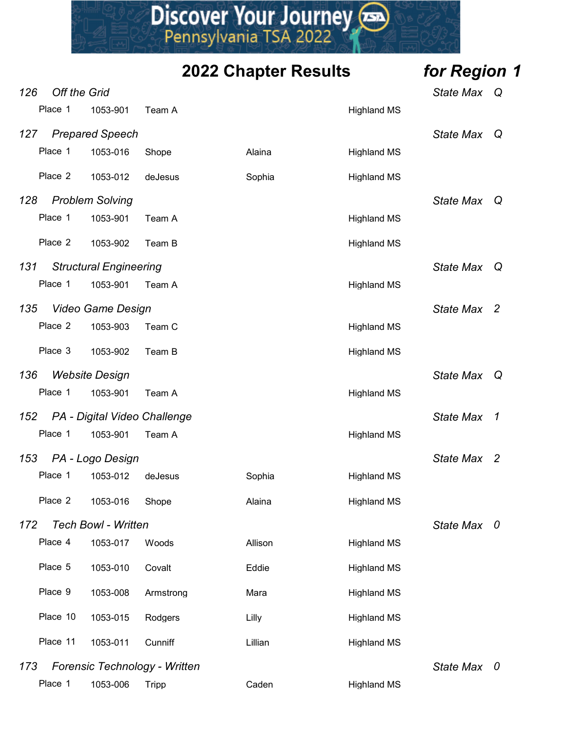# 2022 Chapter Results for Region 1 **126 Off the Grid Place 1 1053-016** Shope<br>
Pennsylvania TSA 2022<br> **2022 Chapter Results for Region 1**<br>
State Max Q<br>
Place 1 1053-016 Shope<br>
Place 1 1053-016 Shope<br>
Place 1 1053-016 Shope<br>
Place 1 1053-016 Shope<br>
Place 1 10 **PRISCOVET YOUT JOUTNEY AND SERVIT SUMPLY AND ARRY PRESSURE THE CITY**<br>
PRISCOVET **PRISCIPLE AND STANDART STATE OF REGION 1**<br>
Off the Grid<br>
Place 1 1053-901 Team A<br>
Prepared Speech<br>
Place 1 1053-016 Shope Alaina Highland MS 127 Prepared Speech State Maximum of the State Maximum of State Maximum of State Maximum of State Maximum of State Maximum of State Maximum of State Maximum of State Maximum of State Maximum of State Maximum of State Maxim Place 1 1053-016 Shope Alaina Highland MS **Discover Your Journey Consumers Source 2 1053-901**<br>
Pennsylvania TSA 2022<br>
2022 Chapter Results for Region 1<br>
Place 1 1053-901 Team A<br>
Place 1 1053-012 deJesus Sophia Highland MS<br>
Place 2 1053-012 deJesus Sophia Highland 128 Problem Solving **State Max** Q Primary Control Court Pour Journey<br>
Pennsylvania TSA 2022<br>
2022 Chapter Results for Region 1<br>
Place 1 1053-901 Team A Highland MS<br>
Primary State Max Q<br>
Place 2 1053-016 Shope<br>
Place 2 1053-901 Team A Highland MS<br>
Place 2 1 Piscover Your Journey<br>
Pennsylvania TSA 2022<br>
2022 Chapter Results for Region 1<br>
Pisce 1 1053-901 Team A<br>
Pisce 1 1053-016 Shope<br>
Pisce 1 1053-016 Shope<br>
Pisce 2 1053-012 deJesus<br>
Pisce 2 1053-901 Team A<br>
Structural Engine 131 Structural Engineering **State Max Q** and State Max Q Place 1 1053-901 Team A Highland MS<br>
Place 1 1053-901 Team A Highland MS<br>
Place 1 1053-901 Team A Highland MS<br>
Place 2 1053-016 Shope Alaina Highland MS<br>
Place 2 1053-012 deJesus Sophia Highland MS<br>
Place 1 1053-901 Team A 135 Video Game Design State Max 2 Off the Grid<br>
Place 1 1053-901 Team A<br>
Prepared Speech<br>
Place 2 1053-012 deJesus<br>
Place 2 1053-912 deJesus<br>
Place 2 1053-902 Team A<br>
State Max Q<br>
Place 2 1053-902 Team B<br>
Structural Engineering<br>
Place 2 1053-903 Team A<br>
Vi Prepared Speech<br>
Place 1 1053-901 Team A<br>
Place 2 1053-012 deJesus<br>
Place 2 1053-901 Team A<br>
Place 1 1053-901 Team A<br>
Structural Engineering<br>
Place 2 1053-902 Team B<br>
Structural Engineering<br>
Place 2 1053-903 Team A<br>
Place 136 Website Design National Contract of the State Max Quality of State Max Quality of State Max Quality of State Max Quality of State Max Quality of State Max Quality of State Max Quality of State Max  $\sim$  Quality of State Place 1 1053-010 shope Awaina Highland MS<br>
Place 2 1053-012 deJesus Sophia Highland MS<br>
Place 1 1053-901 Team A Highland MS<br>
State Max Q<br>
State Max Q<br>
Place 1 1053-901 Team A Highland MS<br>
Video Game Design<br>
Place 2 1053-90 152 PA - Digital Video Challenge State Max 1 Problem Solving<br>
Place 1 1053-902 Team A Highland MS<br>
Place 2 1053-902 Team B Highland MS<br>
Structural Engineering<br>
Place 1 1053-901 Team A Highland MS<br>
Place 2 1053-902 Team B Highland MS<br>
Place 3 1053-902 Team B Highland 153 PA - Logo Design National State Max 2 and State Max 2 Place 2 1053-902 Team B<br>
Structural Engineering<br>
Place 1 1053-901 Team A<br>
Video Game Design<br>
Place 2 1053-903 Team C<br>
Place 3 1053-902 Team B<br>
Place 1 1053-901 Team A<br>
Place 1 1053-901 Team A<br>
Place 1 1053-901 Team A<br>
Plac Place 2 1053-016 Shope Alaina Highland MS Frace 1 1053-901 Team A<br>
1735 Video Game Design<br>
Place 2 1053-903 Team B<br>
1736 Website Design<br>
1736 Website Design<br>
1736 Website Design<br>
1742 PA - Digital Video Challenge<br>
1842 - State Max 2<br>
1842 - State Max 2<br>
1842 - Sta Video Game Design<br>
Place 2 1053-902 Team B<br>
Place 3 1053-902 Team B<br>
Website Design<br>
Place 1 1053-901 Team A<br>
Place 1 1053-901 Team A<br>
Place 1 1053-901 Team A<br>
Place 1 1053-012 deJesus<br>
Place 1 1053-016 Shope<br>
Place 2 1053 Place 3 1053-902 Team B<br>
Place 3 1053-902 Team B<br>
Place 1 1053-901 Team A<br>
Place 1 1053-901 Team A<br>
Place 1 1053-901 Team A<br>
Place 1 1053-901 Team A<br>
Place 1 1053-012 delesus<br>
Place 2 1053-016 Shope<br>
Place 2 1053-016 Shope Place 9 1053-008 Armstrong Mara Highland MS Place 10 1053-015 Rodgers Lilly Lilly Highland MS PA - Digital Video Challenge<br>
Place 1 1053-901 Team A<br>
Place 1 1053-012 delesus<br>
Place 2 1053-016 Shope<br>
Place 2 1053-016 Shope<br>
Place 2 1053-016 Shope<br>
Place 4 1053-017 Woods<br>
Place 4 1053-017 Woods<br>
Place 5 1053-010 Cova 173 Forensic Technology - Written State Max 0 Place 1 1053-006 Tripp Caden Caden Highland MS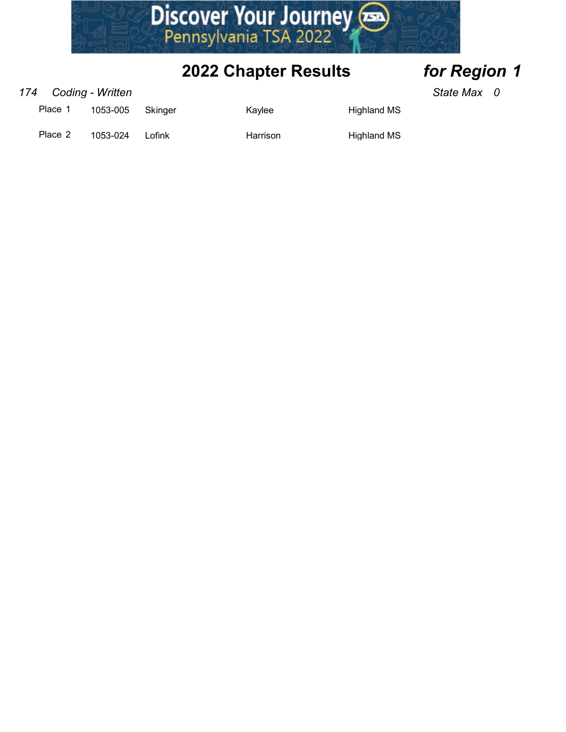

### 174 Coding - Written State Max 0

| Place   | 1053-005 | <b>Skinger</b> | Kavlee   | Highland MS        |
|---------|----------|----------------|----------|--------------------|
| Place 2 | 1053-024 | Lofink         | Harrison | <b>Highland MS</b> |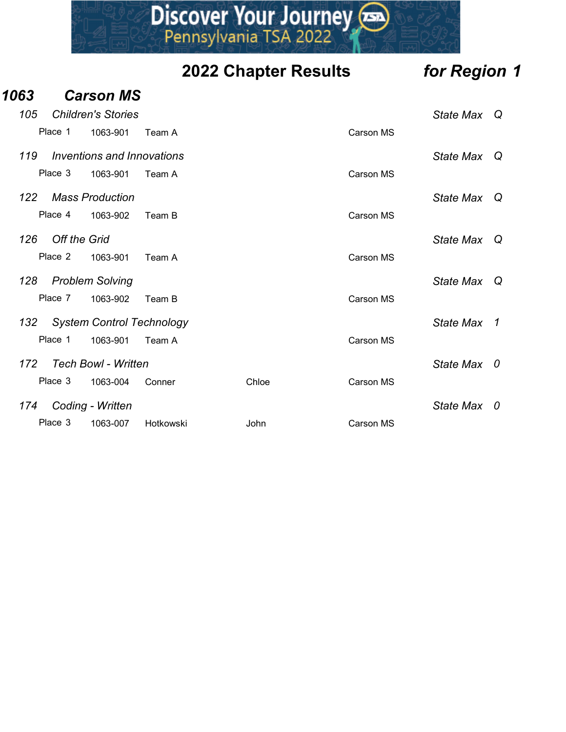|      |                     |                                   |                               | <b>2022 Chapter Results</b> |                  | for Region 1 |  |
|------|---------------------|-----------------------------------|-------------------------------|-----------------------------|------------------|--------------|--|
| 1063 |                     | <b>Carson MS</b>                  |                               |                             |                  |              |  |
| 105  |                     | <b>Children's Stories</b>         |                               |                             |                  | State Max Q  |  |
|      | Place 1             | 1063-901                          | Team A                        |                             | <b>Carson MS</b> |              |  |
| 119  |                     | <b>Inventions and Innovations</b> |                               |                             |                  | State Max Q  |  |
|      | Place 3             | 1063-901                          | Team A                        |                             | Carson MS        |              |  |
| 122  |                     | <b>Mass Production</b>            |                               |                             |                  | State Max Q  |  |
|      | Place 4             | 1063-902                          | Team B                        |                             | Carson MS        |              |  |
| 126  | <b>Off the Grid</b> |                                   |                               |                             |                  | State Max Q  |  |
|      | Place 2             | 1063-901                          | Team A                        |                             | Carson MS        |              |  |
| 128  |                     | <b>Problem Solving</b>            |                               |                             |                  | State Max Q  |  |
|      | Place 7             | 1063-902                          | Team B                        |                             | Carson MS        |              |  |
|      |                     |                                   | 132 System Control Technology |                             |                  | State Max 1  |  |
|      | Place 1             | 1063-901                          | Team A                        |                             | Carson MS        |              |  |
| 172  |                     | <b>Tech Bowl - Written</b>        |                               |                             |                  | State Max 0  |  |
|      | Place 3             | 1063-004                          | Conner                        | Chloe                       | Carson MS        |              |  |
| 174  |                     | Coding - Written                  |                               |                             |                  | State Max 0  |  |
|      | Place 3             | 1063-007                          | Hotkowski                     | John                        | Carson MS        |              |  |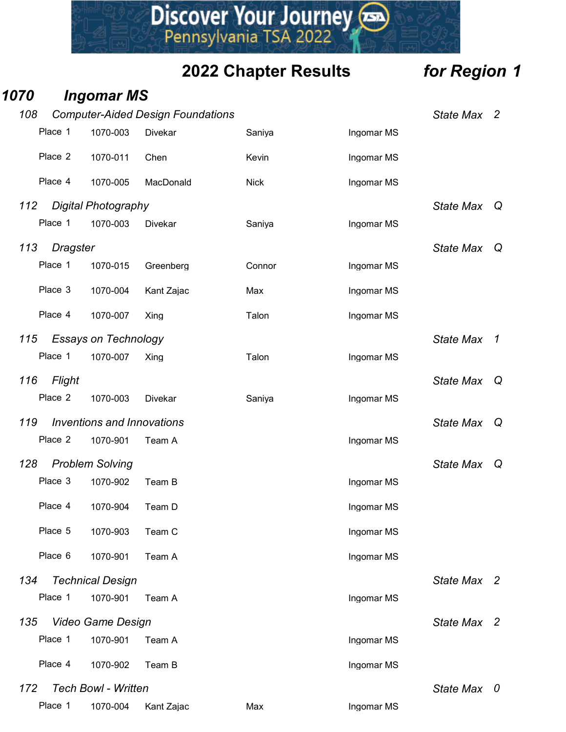|      |            |                                        |                                                            | Discover Your Journey       |            |              |  |
|------|------------|----------------------------------------|------------------------------------------------------------|-----------------------------|------------|--------------|--|
|      |            |                                        |                                                            | <b>2022 Chapter Results</b> |            | for Region 1 |  |
| 1070 |            | <b>Ingomar MS</b>                      |                                                            |                             |            |              |  |
| 108  | Place 1    | 1070-003                               | <b>Computer-Aided Design Foundations</b><br><b>Divekar</b> | Saniya                      | Ingomar MS | State Max 2  |  |
|      | Place 2    | 1070-011                               | Chen                                                       | Kevin                       |            |              |  |
|      |            |                                        |                                                            |                             | Ingomar MS |              |  |
|      | Place 4    | 1070-005                               | MacDonald                                                  | <b>Nick</b>                 | Ingomar MS |              |  |
| 112  | Place 1    | Digital Photography<br>1070-003        | Divekar                                                    | Saniya                      | Ingomar MS | State Max Q  |  |
| 113  | Dragster   |                                        |                                                            |                             |            | State Max Q  |  |
|      | Place 1    | 1070-015                               | Greenberg                                                  | Connor                      | Ingomar MS |              |  |
|      | Place 3    | 1070-004                               | Kant Zajac                                                 | Max                         | Ingomar MS |              |  |
|      | Place 4    | 1070-007                               | Xing                                                       | Talon                       | Ingomar MS |              |  |
| 115  |            | <b>Essays on Technology</b>            |                                                            |                             |            | State Max 1  |  |
|      | Place 1    | 1070-007                               | Xing                                                       | Talon                       | Ingomar MS |              |  |
|      | 116 Flight |                                        |                                                            |                             |            | State Max Q  |  |
|      | Place 2    | 1070-003                               | Divekar                                                    | Saniya                      | Ingomar MS |              |  |
| 119  |            | <b>Inventions and Innovations</b>      |                                                            |                             |            | State Max Q  |  |
|      | Place 2    | 1070-901                               | Team A                                                     |                             | Ingomar MS |              |  |
| 128  |            | <b>Problem Solving</b>                 |                                                            |                             |            | State Max Q  |  |
|      | Place 3    | 1070-902                               | Team B                                                     |                             | Ingomar MS |              |  |
|      | Place 4    | 1070-904                               | Team D                                                     |                             | Ingomar MS |              |  |
|      | Place 5    | 1070-903                               | Team C                                                     |                             | Ingomar MS |              |  |
|      | Place 6    | 1070-901                               | Team A                                                     |                             | Ingomar MS |              |  |
| 134  |            | <b>Technical Design</b>                |                                                            |                             |            | State Max 2  |  |
|      | Place 1    | 1070-901                               | Team A                                                     |                             | Ingomar MS |              |  |
| 135  |            | Video Game Design                      |                                                            |                             |            | State Max 2  |  |
|      | Place 1    | 1070-901                               | Team A                                                     |                             | Ingomar MS |              |  |
|      | Place 4    | 1070-902                               | Team B                                                     |                             | Ingomar MS |              |  |
| 172  | Place 1    | <b>Tech Bowl - Written</b><br>1070-004 | Kant Zajac                                                 | Max                         | Ingomar MS | State Max 0  |  |

- 
-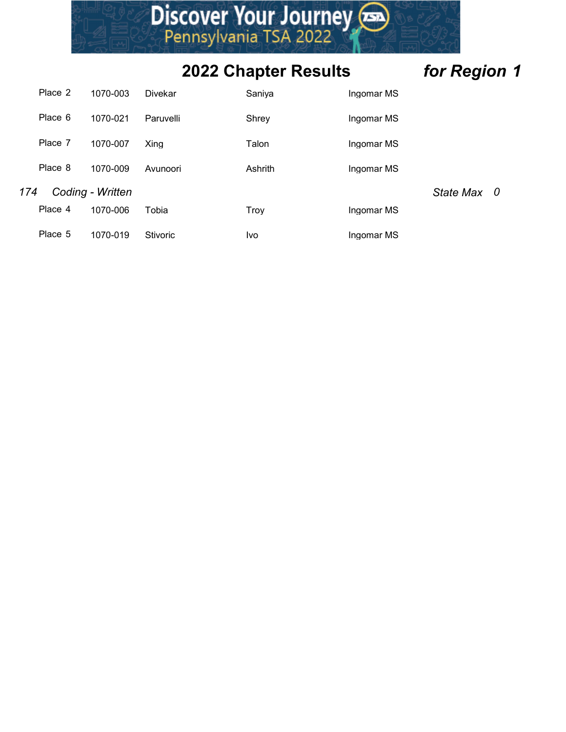|     |         |                  |                | Discover Your Journey       |            |              |
|-----|---------|------------------|----------------|-----------------------------|------------|--------------|
|     |         |                  |                |                             |            |              |
|     |         |                  |                | <b>2022 Chapter Results</b> |            | for Region 1 |
|     | Place 2 | 1070-003         | <b>Divekar</b> | Saniya                      | Ingomar MS |              |
|     | Place 6 | 1070-021         | Paruvelli      | Shrey                       | Ingomar MS |              |
|     |         | 1070-007         | Xing           | Talon                       | Ingomar MS |              |
|     | Place 7 |                  |                |                             |            |              |
|     | Place 8 | 1070-009         | Avunoori       | Ashrith                     | Ingomar MS |              |
| 174 |         | Coding - Written |                |                             |            | State Max 0  |
|     | Place 4 | 1070-006         | Tobia          | Troy                        | Ingomar MS |              |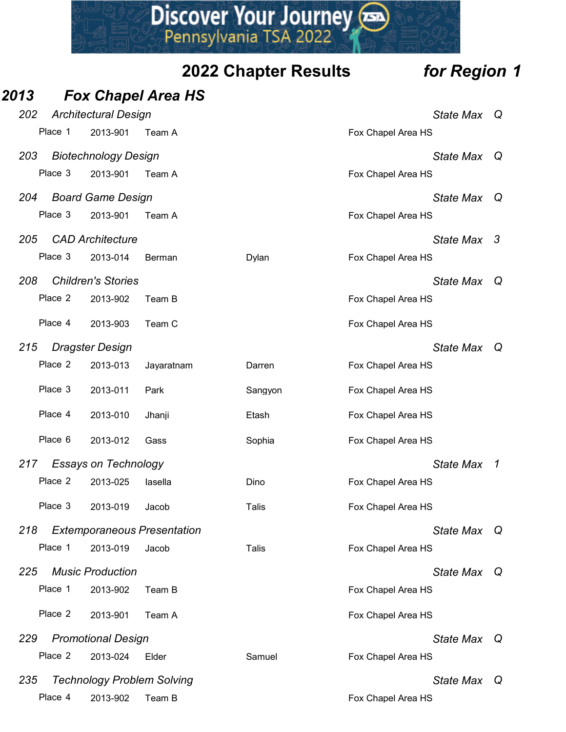|      |         |                                               |                                             | Discover Your Journey       |                                   |  |
|------|---------|-----------------------------------------------|---------------------------------------------|-----------------------------|-----------------------------------|--|
|      |         |                                               |                                             | <b>2022 Chapter Results</b> | for Region 1                      |  |
| 2013 |         |                                               | <b>Fox Chapel Area HS</b>                   |                             |                                   |  |
| 202  |         | <b>Architectural Design</b>                   |                                             |                             | State Max Q                       |  |
|      | Place 1 | 2013-901                                      | Team A                                      |                             | Fox Chapel Area HS                |  |
| 203  |         | <b>Biotechnology Design</b>                   |                                             |                             | State Max Q                       |  |
|      | Place 3 | 2013-901                                      | Team A                                      |                             | Fox Chapel Area HS                |  |
| 204  |         | <b>Board Game Design</b>                      |                                             |                             | State Max Q                       |  |
|      | Place 3 | 2013-901                                      | Team A                                      |                             | Fox Chapel Area HS                |  |
| 205  |         | <b>CAD Architecture</b>                       |                                             |                             | State Max 3                       |  |
|      | Place 3 | 2013-014                                      | Berman                                      | Dylan                       | Fox Chapel Area HS                |  |
| 208  |         | <b>Children's Stories</b>                     |                                             |                             | State Max Q                       |  |
|      | Place 2 | 2013-902                                      | Team B                                      |                             | Fox Chapel Area HS                |  |
|      | Place 4 | 2013-903                                      | Team C                                      |                             | Fox Chapel Area HS                |  |
| 215  |         | <b>Dragster Design</b>                        |                                             |                             | State Max Q                       |  |
|      | Place 2 | 2013-013                                      | Jayaratnam                                  | Darren                      | Fox Chapel Area HS                |  |
|      | Place 3 | 2013-011                                      | Park                                        | Sangyon                     | Fox Chapel Area HS                |  |
|      | Place 4 | 2013-010                                      | Jhanji                                      | Etash                       | Fox Chapel Area HS                |  |
|      | Place 6 | 2013-012                                      | Gass                                        | Sophia                      | Fox Chapel Area HS                |  |
| 217  |         | <b>Essays on Technology</b>                   |                                             |                             | State Max 1                       |  |
|      | Place 2 | 2013-025                                      | lasella                                     | Dino                        | Fox Chapel Area HS                |  |
|      | Place 3 | 2013-019                                      | Jacob                                       | Talis                       | Fox Chapel Area HS                |  |
|      |         |                                               |                                             |                             |                                   |  |
| 218  | Place 1 | 2013-019                                      | <b>Extemporaneous Presentation</b><br>Jacob | Talis                       | State Max Q<br>Fox Chapel Area HS |  |
|      |         |                                               |                                             |                             |                                   |  |
| 225  | Place 1 | <b>Music Production</b><br>2013-902           | Team B                                      |                             | State Max Q<br>Fox Chapel Area HS |  |
|      | Place 2 |                                               |                                             |                             |                                   |  |
|      |         | 2013-901                                      | Team A                                      |                             | Fox Chapel Area HS                |  |
| 229  |         | <b>Promotional Design</b>                     |                                             |                             | State Max Q                       |  |
|      | Place 2 | 2013-024                                      | Elder                                       | Samuel                      | Fox Chapel Area HS                |  |
| 235  | Place 4 | <b>Technology Problem Solving</b><br>2013-902 | Team B                                      |                             | State Max Q<br>Fox Chapel Area HS |  |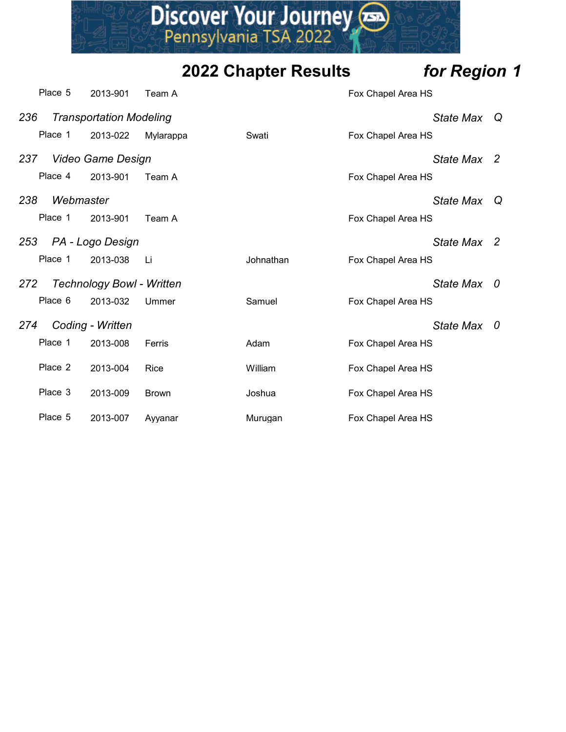

|     |           |                                  |              | Discover Your Journey       |                    |              |  |
|-----|-----------|----------------------------------|--------------|-----------------------------|--------------------|--------------|--|
|     |           |                                  |              | <b>2022 Chapter Results</b> |                    | for Region 1 |  |
|     | Place 5   | 2013-901                         | Team A       |                             | Fox Chapel Area HS |              |  |
| 236 |           | <b>Transportation Modeling</b>   |              |                             |                    | State Max Q  |  |
|     | Place 1   | 2013-022                         | Mylarappa    | Swati                       | Fox Chapel Area HS |              |  |
| 237 |           | Video Game Design                |              |                             |                    | State Max 2  |  |
|     | Place 4   | 2013-901                         | Team A       |                             | Fox Chapel Area HS |              |  |
| 238 | Webmaster |                                  |              |                             |                    | State Max Q  |  |
|     | Place 1   | 2013-901                         | Team A       |                             | Fox Chapel Area HS |              |  |
| 253 |           | PA - Logo Design                 |              |                             |                    | State Max 2  |  |
|     | Place 1   | 2013-038                         | Li           | Johnathan                   | Fox Chapel Area HS |              |  |
| 272 |           | <b>Technology Bowl - Written</b> |              |                             |                    | State Max 0  |  |
|     | Place 6   | 2013-032                         | Ummer        | Samuel                      | Fox Chapel Area HS |              |  |
| 274 |           | Coding - Written                 |              |                             |                    | State Max 0  |  |
|     | Place 1   | 2013-008                         | Ferris       | Adam                        | Fox Chapel Area HS |              |  |
|     | Place 2   | 2013-004                         | Rice         | William                     | Fox Chapel Area HS |              |  |
|     | Place 3   | 2013-009                         | <b>Brown</b> | Joshua                      | Fox Chapel Area HS |              |  |
|     | Place 5   | 2013-007                         | Ayyanar      | Murugan                     | Fox Chapel Area HS |              |  |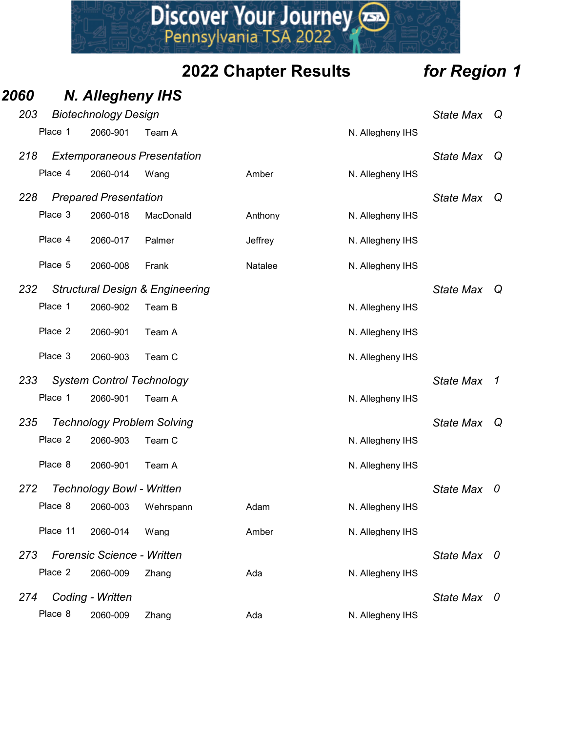|      |         |          |                                          |                                            | Discover Your Journey       |                  |              |  |
|------|---------|----------|------------------------------------------|--------------------------------------------|-----------------------------|------------------|--------------|--|
|      |         |          |                                          |                                            | <b>2022 Chapter Results</b> |                  | for Region 1 |  |
| 2060 |         |          | <b>N. Allegheny IHS</b>                  |                                            |                             |                  |              |  |
| 203  | Place 1 |          | <b>Biotechnology Design</b>              |                                            |                             |                  | State Max Q  |  |
|      |         |          | 2060-901                                 | Team A                                     |                             | N. Allegheny IHS |              |  |
| 218  |         | Place 4  | 2060-014                                 | <b>Extemporaneous Presentation</b><br>Wang | Amber                       | N. Allegheny IHS | State Max Q  |  |
|      |         |          |                                          |                                            |                             |                  |              |  |
| 228  |         | Place 3  | <b>Prepared Presentation</b><br>2060-018 | MacDonald                                  | Anthony                     | N. Allegheny IHS | State Max Q  |  |
|      |         | Place 4  | 2060-017                                 | Palmer                                     | Jeffrey                     | N. Allegheny IHS |              |  |
|      |         |          |                                          |                                            |                             |                  |              |  |
|      |         | Place 5  | 2060-008                                 | Frank                                      | Natalee                     | N. Allegheny IHS |              |  |
| 232  |         |          |                                          | <b>Structural Design &amp; Engineering</b> |                             |                  | State Max Q  |  |
|      |         |          | Place 1 2060-902 Team B                  |                                            |                             | N. Allegheny IHS |              |  |
|      |         | Place 2  | 2060-901                                 | Team A                                     |                             | N. Allegheny IHS |              |  |
|      |         | Place 3  | 2060-903                                 | Team C                                     |                             | N. Allegheny IHS |              |  |
| 233  |         |          |                                          | <b>System Control Technology</b>           |                             |                  | State Max 1  |  |
|      |         | Place 1  | 2060-901                                 | Team A                                     |                             | N. Allegheny IHS |              |  |
| 235  |         |          |                                          | <b>Technology Problem Solving</b>          |                             |                  | State Max Q  |  |
|      |         | Place 2  | 2060-903                                 | Team C                                     |                             | N. Allegheny IHS |              |  |
|      |         | Place 8  | 2060-901                                 | Team A                                     |                             | N. Allegheny IHS |              |  |
| 272  |         |          | <b>Technology Bowl - Written</b>         |                                            |                             |                  | State Max 0  |  |
|      |         | Place 8  | 2060-003                                 | Wehrspann                                  | Adam                        | N. Allegheny IHS |              |  |
|      |         | Place 11 | 2060-014                                 | Wang                                       | Amber                       | N. Allegheny IHS |              |  |
| 273  |         |          | <b>Forensic Science - Written</b>        |                                            |                             |                  | State Max 0  |  |
|      |         | Place 2  | 2060-009                                 | Zhang                                      | Ada                         | N. Allegheny IHS |              |  |
| 274  |         |          | Coding - Written                         |                                            |                             |                  | State Max 0  |  |
|      |         | Place 8  | 2060-009                                 | Zhang                                      | Ada                         | N. Allegheny IHS |              |  |
|      |         |          |                                          |                                            |                             |                  |              |  |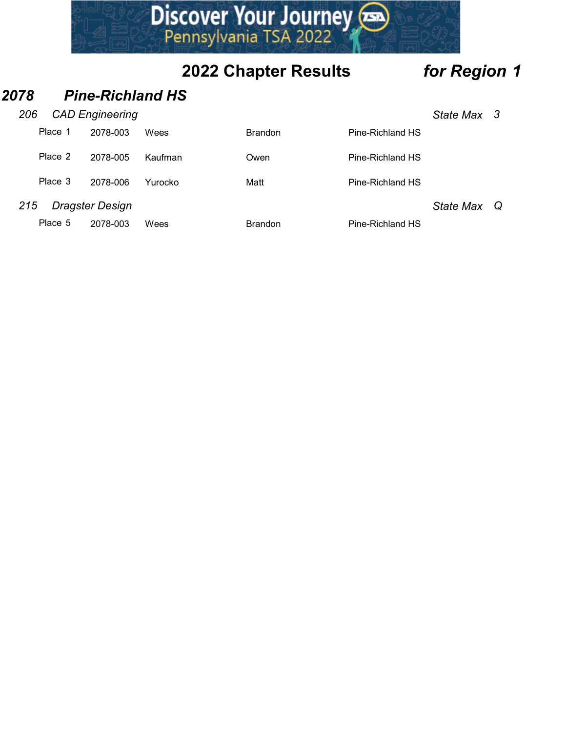|     |         |                         |         | Discover Your Journey       |                  |              |  |
|-----|---------|-------------------------|---------|-----------------------------|------------------|--------------|--|
|     |         |                         |         | <b>2022 Chapter Results</b> |                  | for Region 1 |  |
| )78 |         | <b>Pine-Richland HS</b> |         |                             |                  |              |  |
| 206 |         | <b>CAD Engineering</b>  |         |                             |                  | State Max 3  |  |
|     | Place 1 | 2078-003                | Wees    | <b>Brandon</b>              | Pine-Richland HS |              |  |
|     | Place 2 | 2078-005                | Kaufman | Owen                        | Pine-Richland HS |              |  |
|     | Place 3 | 2078-006                | Yurocko | Matt                        | Pine-Richland HS |              |  |
| 215 |         | <b>Dragster Design</b>  |         |                             |                  | State Max Q  |  |
|     | Place 5 | 2078-003                | Wees    | <b>Brandon</b>              | Pine-Richland HS |              |  |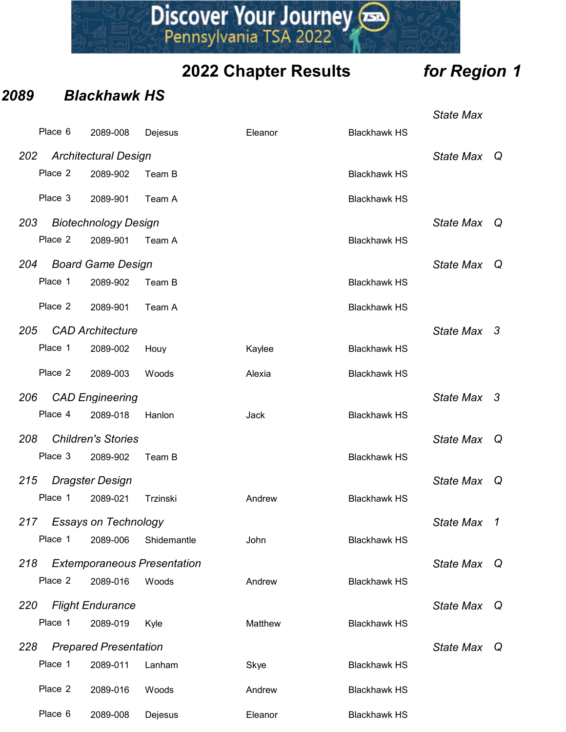|      |         |                                         | Discover Your Journey              | <b>2022 Chapter Results</b> |                     | for Region 1     |  |
|------|---------|-----------------------------------------|------------------------------------|-----------------------------|---------------------|------------------|--|
| 2089 |         | <b>Blackhawk HS</b>                     |                                    |                             |                     |                  |  |
|      |         |                                         |                                    |                             |                     | <b>State Max</b> |  |
|      | Place 6 | 2089-008                                | Dejesus                            | Eleanor                     | <b>Blackhawk HS</b> |                  |  |
| 202  | Place 2 | <b>Architectural Design</b><br>2089-902 | Team B                             |                             | <b>Blackhawk HS</b> | State Max Q      |  |
|      | Place 3 | 2089-901                                | Team A                             |                             | <b>Blackhawk HS</b> |                  |  |
| 203  |         | <b>Biotechnology Design</b>             |                                    |                             |                     | State Max Q      |  |
|      | Place 2 | 2089-901                                | Team A                             |                             | <b>Blackhawk HS</b> |                  |  |
| 204  |         | <b>Board Game Design</b>                |                                    |                             |                     | State Max Q      |  |
|      | Place 1 | 2089-902                                | Team B                             |                             | <b>Blackhawk HS</b> |                  |  |
|      | Place 2 | 2089-901                                | Team A                             |                             | <b>Blackhawk HS</b> |                  |  |
| 205  |         | <b>CAD Architecture</b>                 |                                    |                             |                     | State Max 3      |  |
|      | Place 1 | 2089-002                                | Houy                               | Kaylee                      | <b>Blackhawk HS</b> |                  |  |
|      | Place 2 | 2089-003                                | Woods                              | Alexia                      | <b>Blackhawk HS</b> |                  |  |
| 206  | Place 4 | <b>CAD Engineering</b><br>2089-018      | Hanlon                             | Jack                        | <b>Blackhawk HS</b> | State Max 3      |  |
| 208  |         | <b>Children's Stories</b>               |                                    |                             |                     | State Max Q      |  |
|      | Place 3 | 2089-902                                | Team B                             |                             | <b>Blackhawk HS</b> |                  |  |
| 215  |         | <b>Dragster Design</b>                  |                                    |                             |                     | State Max Q      |  |
|      | Place 1 | 2089-021                                | Trzinski                           | Andrew                      | <b>Blackhawk HS</b> |                  |  |
| 217  | Place 1 | <b>Essays on Technology</b><br>2089-006 | Shidemantle                        | John                        | <b>Blackhawk HS</b> | State Max 1      |  |
| 218  |         |                                         | <b>Extemporaneous Presentation</b> |                             |                     | State Max Q      |  |
|      | Place 2 | 2089-016                                | Woods                              | Andrew                      | <b>Blackhawk HS</b> |                  |  |
| 220  |         | <b>Flight Endurance</b>                 |                                    |                             |                     | State Max Q      |  |
|      | Place 1 | 2089-019                                | Kyle                               | Matthew                     | <b>Blackhawk HS</b> |                  |  |
| 228  |         | <b>Prepared Presentation</b>            |                                    |                             |                     | State Max Q      |  |
|      | Place 1 | 2089-011                                | Lanham                             | Skye                        | <b>Blackhawk HS</b> |                  |  |
|      | Place 2 | 2089-016                                | Woods                              | Andrew                      | <b>Blackhawk HS</b> |                  |  |
|      | Place 6 | 2089-008                                | Dejesus                            | Eleanor                     | <b>Blackhawk HS</b> |                  |  |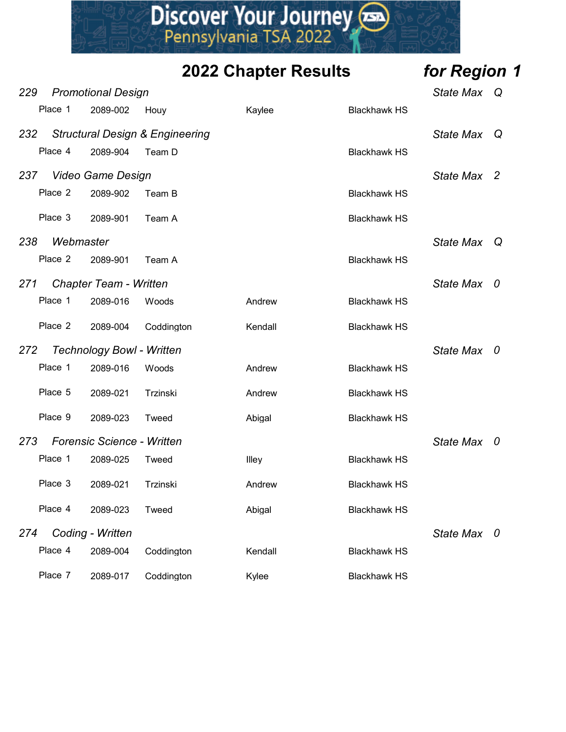|     |           |                                       |                                                              | Discover Your Journey       |                     |              |  |
|-----|-----------|---------------------------------------|--------------------------------------------------------------|-----------------------------|---------------------|--------------|--|
|     |           |                                       |                                                              | <b>2022 Chapter Results</b> |                     | for Region 1 |  |
| 229 | Place 1   | <b>Promotional Design</b><br>2089-002 |                                                              |                             | <b>Blackhawk HS</b> | State Max Q  |  |
| 232 | Place 4   | 2089-904                              | Houy<br><b>Structural Design &amp; Engineering</b><br>Team D | Kaylee                      | <b>Blackhawk HS</b> | State Max Q  |  |
| 237 |           | Video Game Design                     |                                                              |                             |                     | State Max 2  |  |
|     | Place 2   | 2089-902                              | Team B                                                       |                             | <b>Blackhawk HS</b> |              |  |
|     | Place 3   | 2089-901                              | Team A                                                       |                             | <b>Blackhawk HS</b> |              |  |
| 238 | Webmaster |                                       |                                                              |                             |                     | State Max Q  |  |
|     | Place 2   | 2089-901                              | Team A                                                       |                             | <b>Blackhawk HS</b> |              |  |
| 271 |           | <b>Chapter Team - Written</b>         |                                                              |                             |                     | State Max 0  |  |
|     | Place 1   | 2089-016                              | Woods                                                        | Andrew                      | <b>Blackhawk HS</b> |              |  |
|     | Place 2   | 2089-004                              | Coddington                                                   | Kendall                     | <b>Blackhawk HS</b> |              |  |
| 272 |           | <b>Technology Bowl - Written</b>      |                                                              |                             |                     | State Max 0  |  |
|     | Place 1   | 2089-016                              | Woods                                                        | Andrew                      | <b>Blackhawk HS</b> |              |  |
|     | Place 5   | 2089-021                              | Trzinski                                                     | Andrew                      | <b>Blackhawk HS</b> |              |  |
|     | Place 9   | 2089-023                              | Tweed                                                        | Abigal                      | <b>Blackhawk HS</b> |              |  |
| 273 |           | <b>Forensic Science - Written</b>     |                                                              |                             |                     | State Max 0  |  |
|     | Place 1   | 2089-025                              | Tweed                                                        | Illey                       | <b>Blackhawk HS</b> |              |  |
|     | Place 3   | 2089-021                              | Trzinski                                                     | Andrew                      | <b>Blackhawk HS</b> |              |  |
|     | Place 4   | 2089-023                              | Tweed                                                        | Abigal                      | <b>Blackhawk HS</b> |              |  |
| 274 |           | Coding - Written                      |                                                              |                             |                     | State Max 0  |  |
|     | Place 4   | 2089-004                              | Coddington                                                   | Kendall                     | <b>Blackhawk HS</b> |              |  |
|     | Place 7   | 2089-017                              | Coddington                                                   | Kylee                       | <b>Blackhawk HS</b> |              |  |